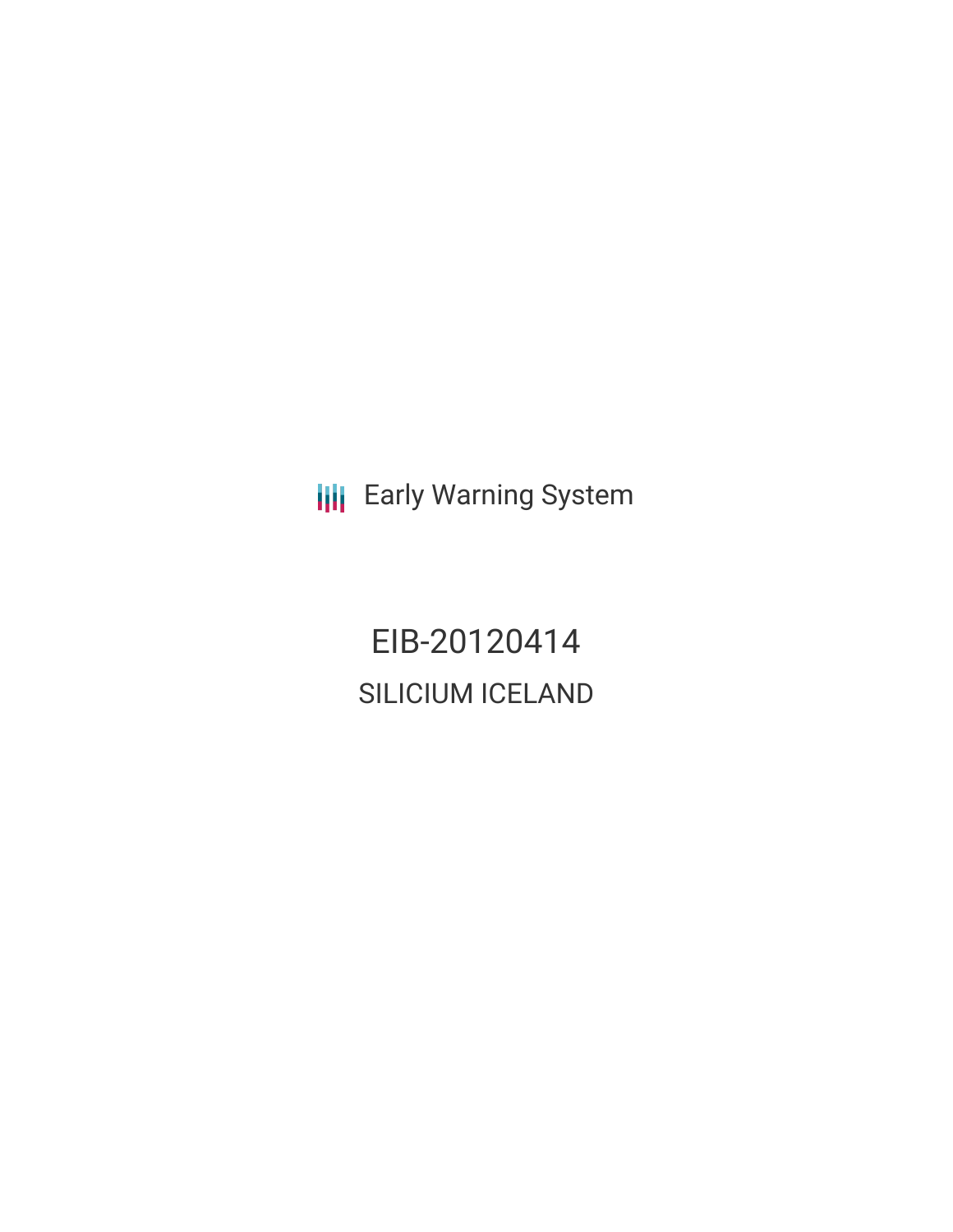**III** Early Warning System

EIB-20120414 SILICIUM ICELAND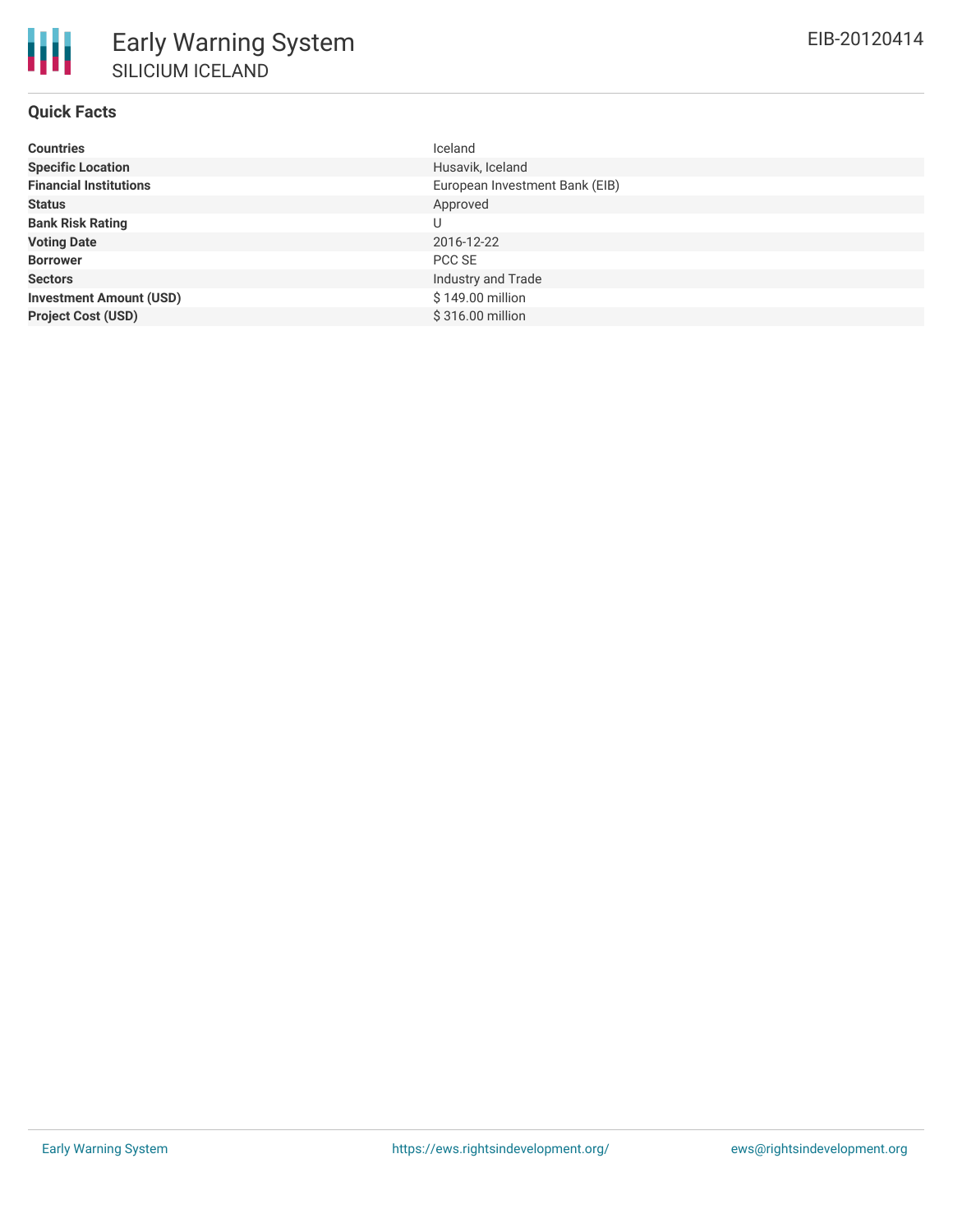# **Quick Facts**

| <b>Countries</b>               | Iceland                        |
|--------------------------------|--------------------------------|
| <b>Specific Location</b>       | Husavik, Iceland               |
| <b>Financial Institutions</b>  | European Investment Bank (EIB) |
| <b>Status</b>                  | Approved                       |
| <b>Bank Risk Rating</b>        | U                              |
| <b>Voting Date</b>             | 2016-12-22                     |
| <b>Borrower</b>                | PCC SE                         |
| <b>Sectors</b>                 | Industry and Trade             |
| <b>Investment Amount (USD)</b> | \$149.00 million               |
| <b>Project Cost (USD)</b>      | \$316.00 million               |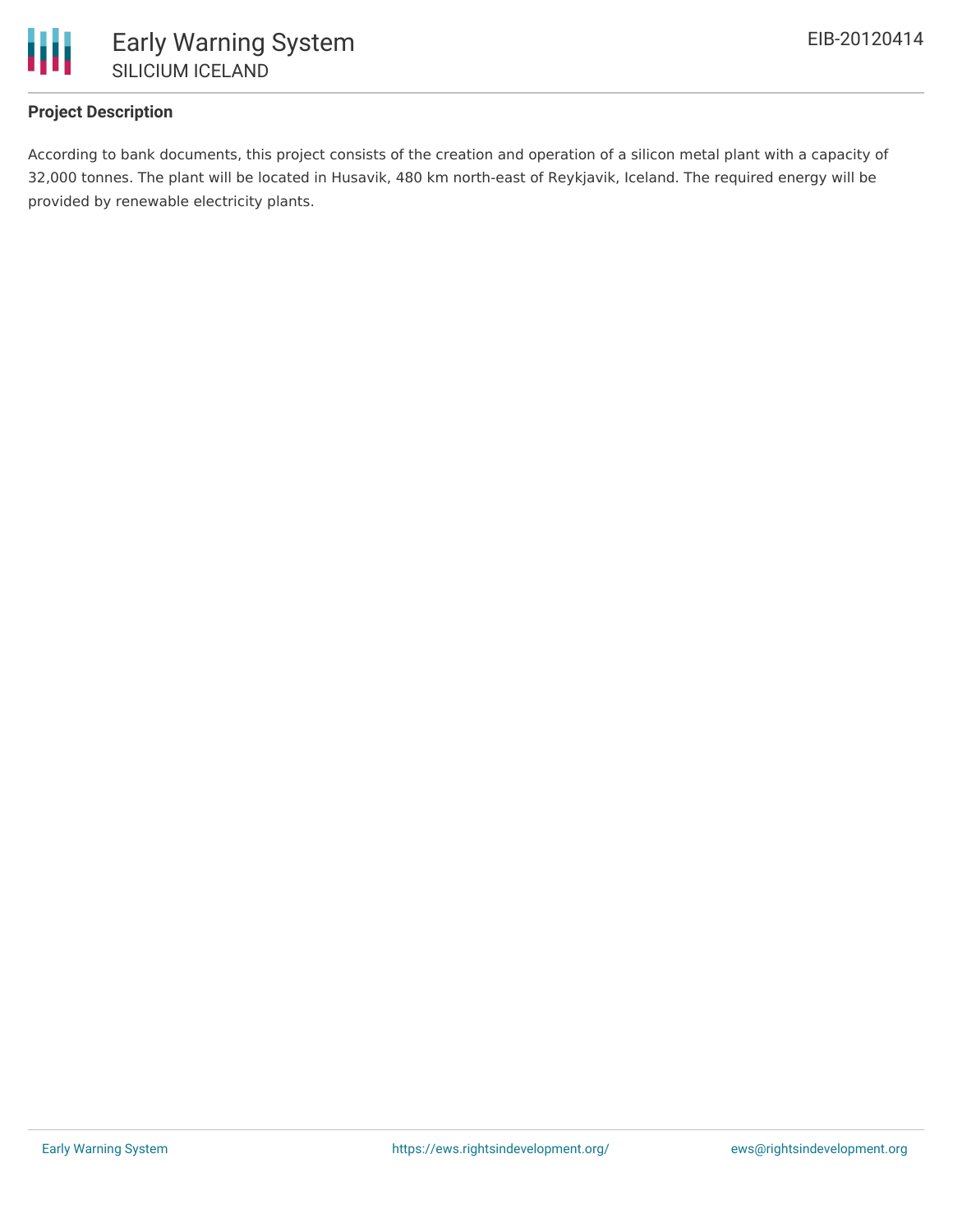

## **Project Description**

According to bank documents, this project consists of the creation and operation of a silicon metal plant with a capacity of 32,000 tonnes. The plant will be located in Husavik, 480 km north-east of Reykjavik, Iceland. The required energy will be provided by renewable electricity plants.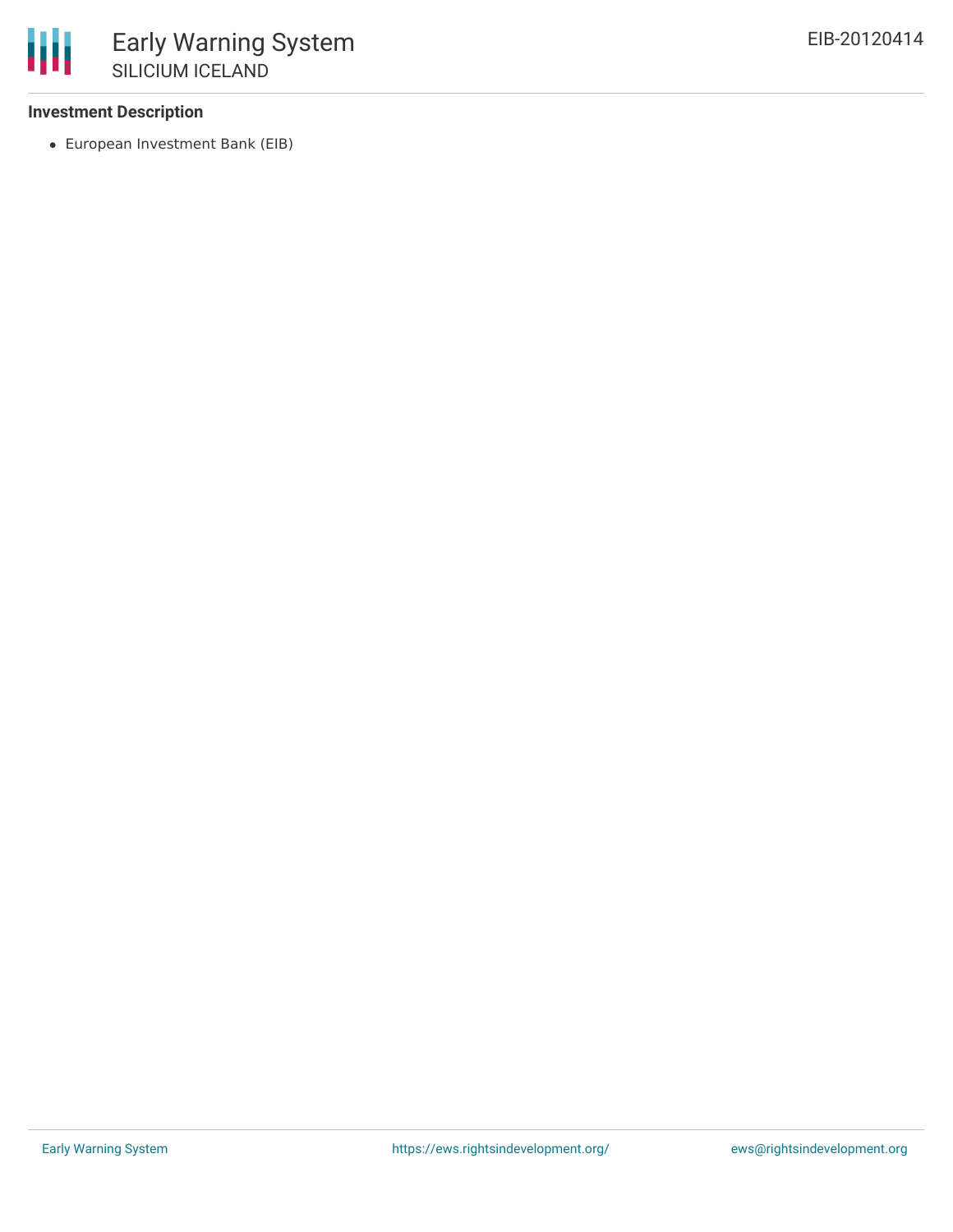### **Investment Description**

European Investment Bank (EIB)